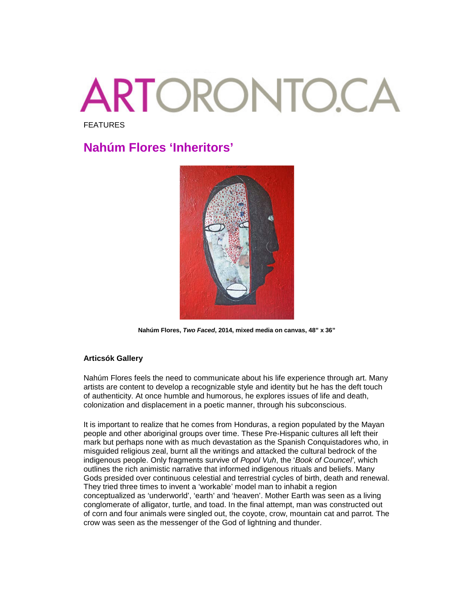## **ARTORONTO.CA** FEATURES

## **Nahúm Flores 'Inheritors'**



**Nahúm Flores,** *Two Faced***, 2014, mixed media on canvas, 48" x 36"**

## **Articsók Gallery**

Nahúm Flores feels the need to communicate about his life experience through art. Many artists are content to develop a recognizable style and identity but he has the deft touch of authenticity. At once humble and humorous, he explores issues of life and death, colonization and displacement in a poetic manner, through his subconscious.

It is important to realize that he comes from Honduras, a region populated by the Mayan people and other aboriginal groups over time. These Pre-Hispanic cultures all left their mark but perhaps none with as much devastation as the Spanish Conquistadores who, in misguided religious zeal, burnt all the writings and attacked the cultural bedrock of the indigenous people. Only fragments survive of *Popol Vuh*, the '*Book of Councel'*, which outlines the rich animistic narrative that informed indigenous rituals and beliefs. Many Gods presided over continuous celestial and terrestrial cycles of birth, death and renewal. They tried three times to invent a 'workable' model man to inhabit a region conceptualized as 'underworld', 'earth' and 'heaven'. Mother Earth was seen as a living conglomerate of alligator, turtle, and toad. In the final attempt, man was constructed out of corn and four animals were singled out, the coyote, crow, mountain cat and parrot. The crow was seen as the messenger of the God of lightning and thunder.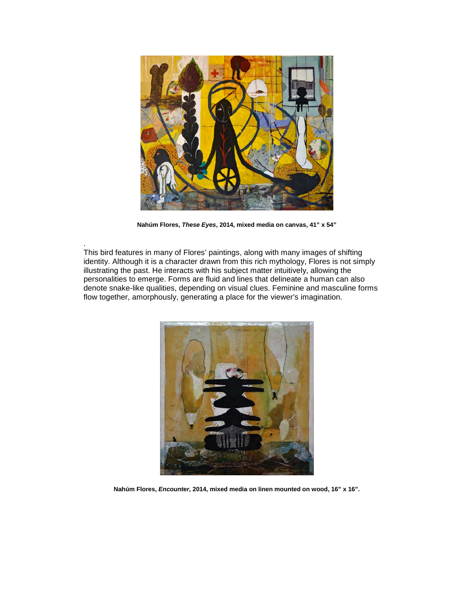

**Nahúm Flores,** *These Eyes***, 2014, mixed media on canvas, 41" x 54"**

. This bird features in many of Flores' paintings, along with many images of shifting identity. Although it is a character drawn from this rich mythology, Flores is not simply illustrating the past. He interacts with his subject matter intuitively, allowing the personalities to emerge. Forms are fluid and lines that delineate a human can also denote snake-like qualities, depending on visual clues. Feminine and masculine forms flow together, amorphously, generating a place for the viewer's imagination.



**Nahúm Flores,** *Encounter***, 2014, mixed media on linen mounted on wood, 16" x 16".**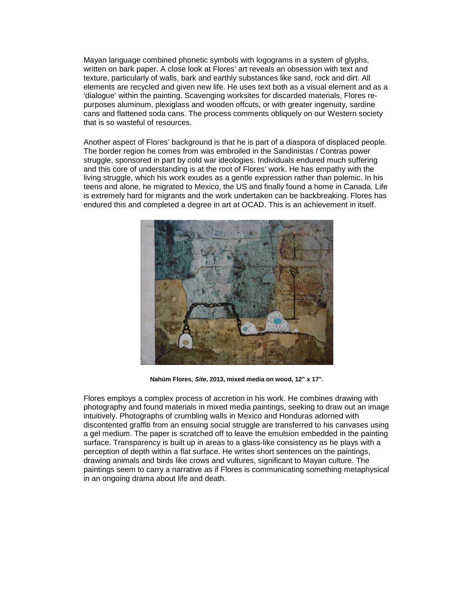Mayan language combined phonetic symbols with logograms in a system of glyphs, written on bark paper. A close look at Flores' art reveals an obsession with text and texture, particularly of walls, bark and earthly substances like sand, rock and dirt. All elements are recycled and given new life. He uses text both as a visual element and as a 'dialogue' within the painting. Scavenging worksites for discarded materials, Flores repurposes aluminum, plexiglass and wooden offcuts, or with greater ingenuity, sardine cans and flattened soda cans. The process comments obliquely on our Western society that is so wasteful of resources.

Another aspect of Flores' background is that he is part of a diaspora of displaced people. The border region he comes from was embroiled in the Sandinistas / Contras power struggle, sponsored in part by cold war ideologies. Individuals endured much suffering and this core of understanding is at the root of Flores' work. He has empathy with the living struggle, which his work exudes as a gentle expression rather than polemic. In his teens and alone, he migrated to Mexico, the US and finally found a home in Canada. Life is extremely hard for migrants and the work undertaken can be backbreaking. Flores has endured this and completed a degree in art at OCAD. This is an achievement in itself.



**Nahúm Flores,** *Site***, 2013, mixed media on wood, 12" x 17".**

Flores employs a complex process of accretion in his work. He combines drawing with photography and found materials in mixed media paintings, seeking to draw out an image intuitively. Photographs of crumbling walls in Mexico and Honduras adorned with discontented graffiti from an ensuing social struggle are transferred to his canvases using a gel medium. The paper is scratched off to leave the emulsion embedded in the painting surface. Transparency is built up in areas to a glass-like consistency as he plays with a perception of depth within a flat surface. He writes short sentences on the paintings, drawing animals and birds like crows and vultures, significant to Mayan culture. The paintings seem to carry a narrative as if Flores is communicating something metaphysical in an ongoing drama about life and death.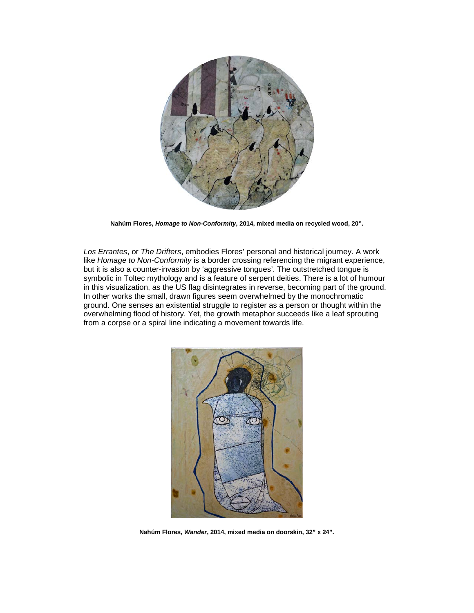

**Nahúm Flores,** *Homage to Non-Conformity***, 2014, mixed media on recycled wood, 20".**

*Los Errantes*, or *The Drifters*, embodies Flores' personal and historical journey. A work like *Homage to Non-Conformity* is a border crossing referencing the migrant experience, but it is also a counter-invasion by 'aggressive tongues'. The outstretched tongue is symbolic in Toltec mythology and is a feature of serpent deities. There is a lot of humour in this visualization, as the US flag disintegrates in reverse, becoming part of the ground. In other works the small, drawn figures seem overwhelmed by the monochromatic ground. One senses an existential struggle to register as a person or thought within the overwhelming flood of history. Yet, the growth metaphor succeeds like a leaf sprouting from a corpse or a spiral line indicating a movement towards life.



**Nahúm Flores,** *Wander***, 2014, mixed media on doorskin, 32" x 24".**